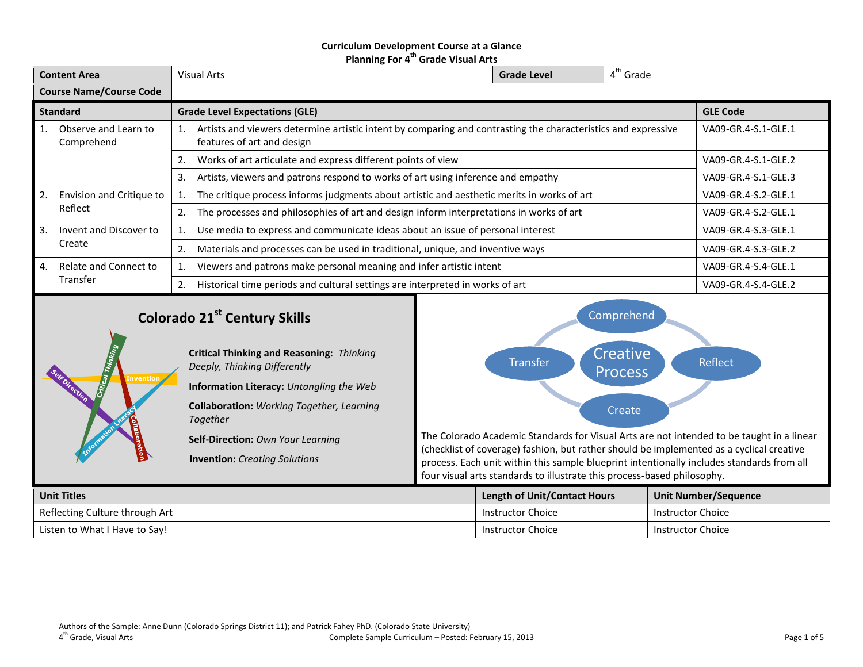#### **Curriculum Development Course at a Glance Planning For 4 th Grade Visual Arts**

| <b>Content Area</b> |                                                                                        | Visual Arts                                                                                                                                       | <b>Grade Level</b>  | $4th$ Grade     |                     |
|---------------------|----------------------------------------------------------------------------------------|---------------------------------------------------------------------------------------------------------------------------------------------------|---------------------|-----------------|---------------------|
|                     | <b>Course Name/Course Code</b>                                                         |                                                                                                                                                   |                     |                 |                     |
|                     | <b>Standard</b>                                                                        | <b>Grade Level Expectations (GLE)</b>                                                                                                             |                     | <b>GLE Code</b> |                     |
| 1.                  | Observe and Learn to<br>Comprehend                                                     | Artists and viewers determine artistic intent by comparing and contrasting the characteristics and expressive<br>1.<br>features of art and design | VA09-GR.4-S.1-GLE.1 |                 |                     |
|                     |                                                                                        | Works of art articulate and express different points of view<br>2.                                                                                | VA09-GR.4-S.1-GLE.2 |                 |                     |
|                     | Artists, viewers and patrons respond to works of art using inference and empathy<br>3. |                                                                                                                                                   |                     |                 | VA09-GR.4-S.1-GLE.3 |
| 2.                  | Envision and Critique to                                                               | The critique process informs judgments about artistic and aesthetic merits in works of art                                                        | VA09-GR.4-S.2-GLE.1 |                 |                     |
|                     | Reflect                                                                                | The processes and philosophies of art and design inform interpretations in works of art<br>2.                                                     | VA09-GR.4-S.2-GLE.1 |                 |                     |
| $\overline{3}$ .    | Invent and Discover to                                                                 | Use media to express and communicate ideas about an issue of personal interest                                                                    |                     |                 | VA09-GR.4-S.3-GLE.1 |
|                     | Create                                                                                 | Materials and processes can be used in traditional, unique, and inventive ways<br>2.                                                              |                     |                 | VA09-GR.4-S.3-GLE.2 |
| 4.                  | Relate and Connect to                                                                  | Viewers and patrons make personal meaning and infer artistic intent                                                                               | VA09-GR.4-S.4-GLE.1 |                 |                     |
|                     | Transfer                                                                               | Historical time periods and cultural settings are interpreted in works of art<br>2.                                                               |                     |                 | VA09-GR.4-S.4-GLE.2 |
|                     |                                                                                        |                                                                                                                                                   |                     |                 |                     |

# **Colorado 21st Century Skills**

*Together*

*Deeply, Thinking Differently*

**Critical Thinking and Reasoning:** *Thinking* 

**Information Literacy:** *Untangling the Web* **Collaboration:** *Working Together, Learning* 

**Self-Direction:** *Own Your Learning*

**Invention:** *Creating Solutions*





The Colorado Academic Standards for Visual Arts are not intended to be taught in a linear (checklist of coverage) fashion, but rather should be implemented as a cyclical creative process. Each unit within this sample blueprint intentionally includes standards from all four visual arts standards to illustrate this process-based philosophy.

| <b>Unit Titles</b>             | Length of Unit/Contact Hours | <b>Unit Number/Sequence</b> |
|--------------------------------|------------------------------|-----------------------------|
| Reflecting Culture through Art | Instructor Choice            | <b>Instructor Choice</b>    |
| Listen to What I Have to Say!  | <b>Instructor Choice</b>     | <b>Instructor Choice</b>    |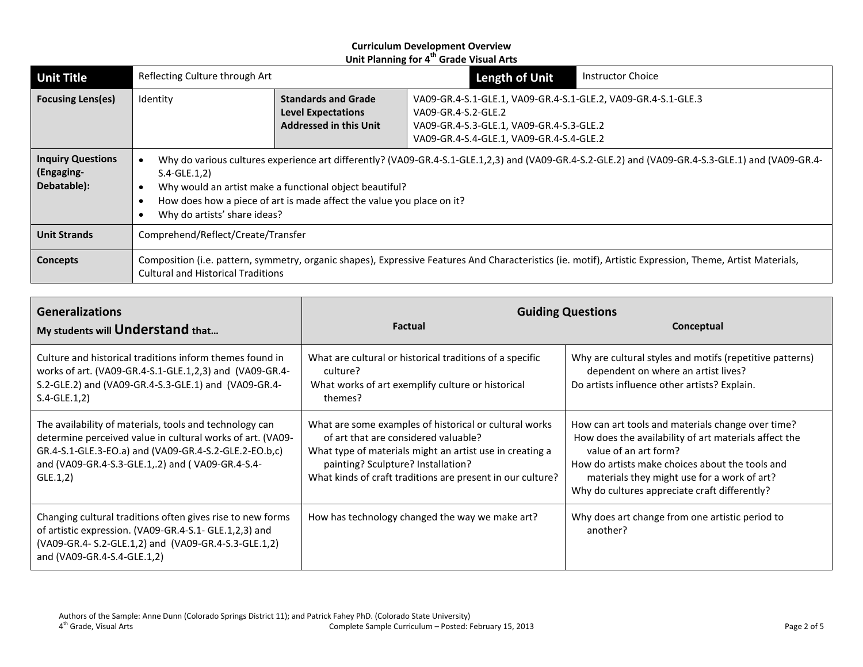| <b>Unit Title</b>                                     | Reflecting Culture through Art                                                                                                                                                                                                                                                                                                          |  | <b>Length of Unit</b> | <b>Instructor Choice</b>                                                                                                                              |  |
|-------------------------------------------------------|-----------------------------------------------------------------------------------------------------------------------------------------------------------------------------------------------------------------------------------------------------------------------------------------------------------------------------------------|--|-----------------------|-------------------------------------------------------------------------------------------------------------------------------------------------------|--|
| <b>Focusing Lens(es)</b>                              | <b>Standards and Grade</b><br>Identity<br><b>Level Expectations</b><br><b>Addressed in this Unit</b>                                                                                                                                                                                                                                    |  | VA09-GR.4-S.2-GLE.2   | VA09-GR.4-S.1-GLE.1, VA09-GR.4-S.1-GLE.2, VA09-GR.4-S.1-GLE.3<br>VA09-GR.4-S.3-GLE.1, VA09-GR.4-S.3-GLE.2<br>VA09-GR.4-S.4-GLE.1, VA09-GR.4-S.4-GLE.2 |  |
| <b>Inquiry Questions</b><br>(Engaging-<br>Debatable): | Why do various cultures experience art differently? (VA09-GR.4-S.1-GLE.1,2,3) and (VA09-GR.4-S.2-GLE.2) and (VA09-GR.4-S.3-GLE.1) and (VA09-GR.4-<br>$S.4-GLE.1,2)$<br>Why would an artist make a functional object beautiful?<br>How does how a piece of art is made affect the value you place on it?<br>Why do artists' share ideas? |  |                       |                                                                                                                                                       |  |
| <b>Unit Strands</b>                                   | Comprehend/Reflect/Create/Transfer                                                                                                                                                                                                                                                                                                      |  |                       |                                                                                                                                                       |  |
| Concepts                                              | Composition (i.e. pattern, symmetry, organic shapes), Expressive Features And Characteristics (ie. motif), Artistic Expression, Theme, Artist Materials,<br>Cultural and Historical Traditions                                                                                                                                          |  |                       |                                                                                                                                                       |  |

| <b>Generalizations</b><br>My students will Understand that                                                                                                                                                                                     | <b>Factual</b>                                                                                                                                                                                                                                                 | <b>Guiding Questions</b><br>Conceptual                                                                                                                                                                                                                                                 |  |
|------------------------------------------------------------------------------------------------------------------------------------------------------------------------------------------------------------------------------------------------|----------------------------------------------------------------------------------------------------------------------------------------------------------------------------------------------------------------------------------------------------------------|----------------------------------------------------------------------------------------------------------------------------------------------------------------------------------------------------------------------------------------------------------------------------------------|--|
| Culture and historical traditions inform themes found in<br>works of art. (VA09-GR.4-S.1-GLE.1,2,3) and (VA09-GR.4-<br>S.2-GLE.2) and (VA09-GR.4-S.3-GLE.1) and (VA09-GR.4-<br>$S.4-GLE.1,2)$                                                  | What are cultural or historical traditions of a specific<br>culture?<br>What works of art exemplify culture or historical<br>themes?                                                                                                                           | Why are cultural styles and motifs (repetitive patterns)<br>dependent on where an artist lives?<br>Do artists influence other artists? Explain.                                                                                                                                        |  |
| The availability of materials, tools and technology can<br>determine perceived value in cultural works of art. (VA09-<br>GR.4-S.1-GLE.3-EO.a) and (VA09-GR.4-S.2-GLE.2-EO.b,c)<br>and (VA09-GR.4-S.3-GLE.1,.2) and (VA09-GR.4-S.4-<br>GLE.1,2) | What are some examples of historical or cultural works<br>of art that are considered valuable?<br>What type of materials might an artist use in creating a<br>painting? Sculpture? Installation?<br>What kinds of craft traditions are present in our culture? | How can art tools and materials change over time?<br>How does the availability of art materials affect the<br>value of an art form?<br>How do artists make choices about the tools and<br>materials they might use for a work of art?<br>Why do cultures appreciate craft differently? |  |
| Changing cultural traditions often gives rise to new forms<br>of artistic expression. (VA09-GR.4-S.1- GLE.1,2,3) and<br>(VA09-GR.4- S.2-GLE.1,2) and (VA09-GR.4-S.3-GLE.1,2)<br>and (VA09-GR.4-S.4-GLE.1,2)                                    | How has technology changed the way we make art?                                                                                                                                                                                                                | Why does art change from one artistic period to<br>another?                                                                                                                                                                                                                            |  |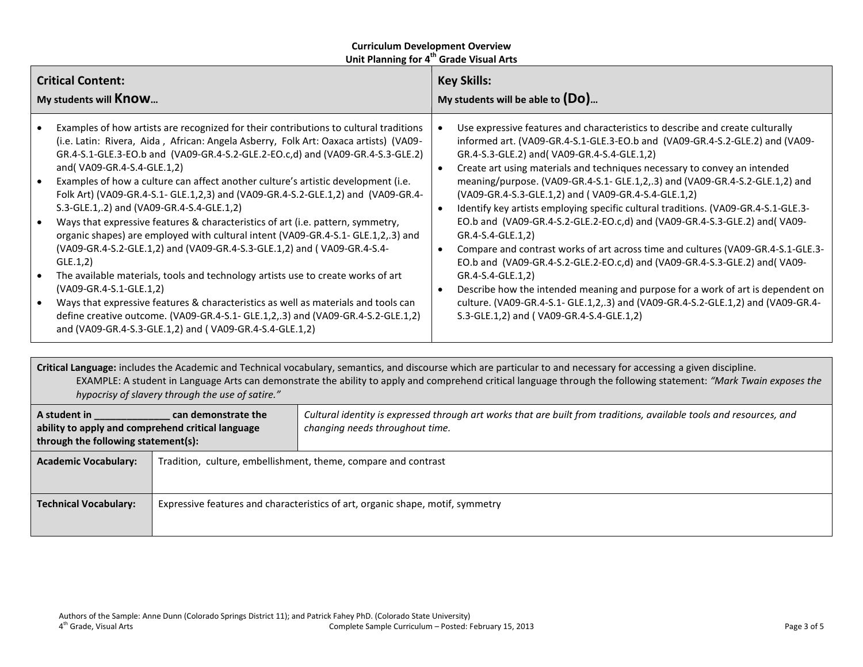| <b>Critical Content:</b><br>My students will <b>Know</b>                                                                                                                                                                                                                                                                                                                                                                                                                                                                                                                                                                                                                                                                                                                                                                                                                                                                                                                                                                                                                                                                                                                                   | <b>Key Skills:</b><br>My students will be able to $(Do)$                                                                                                                                                                                                                                                                                                                                                                                                                                                                                                                                                                                                                                                                                                                                                                                                                                                                                                                                                                            |  |
|--------------------------------------------------------------------------------------------------------------------------------------------------------------------------------------------------------------------------------------------------------------------------------------------------------------------------------------------------------------------------------------------------------------------------------------------------------------------------------------------------------------------------------------------------------------------------------------------------------------------------------------------------------------------------------------------------------------------------------------------------------------------------------------------------------------------------------------------------------------------------------------------------------------------------------------------------------------------------------------------------------------------------------------------------------------------------------------------------------------------------------------------------------------------------------------------|-------------------------------------------------------------------------------------------------------------------------------------------------------------------------------------------------------------------------------------------------------------------------------------------------------------------------------------------------------------------------------------------------------------------------------------------------------------------------------------------------------------------------------------------------------------------------------------------------------------------------------------------------------------------------------------------------------------------------------------------------------------------------------------------------------------------------------------------------------------------------------------------------------------------------------------------------------------------------------------------------------------------------------------|--|
| Examples of how artists are recognized for their contributions to cultural traditions<br>(i.e. Latin: Rivera, Aida, African: Angela Asberry, Folk Art: Oaxaca artists) (VA09-<br>GR.4-S.1-GLE.3-EO.b and (VA09-GR.4-S.2-GLE.2-EO.c,d) and (VA09-GR.4-S.3-GLE.2)<br>and(VA09-GR.4-S.4-GLE.1,2)<br>Examples of how a culture can affect another culture's artistic development (i.e.<br>$\bullet$<br>Folk Art) (VA09-GR.4-S.1- GLE.1,2,3) and (VA09-GR.4-S.2-GLE.1,2) and (VA09-GR.4-<br>S.3-GLE.1,.2) and (VA09-GR.4-S.4-GLE.1,2)<br>Ways that expressive features & characteristics of art (i.e. pattern, symmetry,<br>$\bullet$<br>organic shapes) are employed with cultural intent (VA09-GR.4-S.1- GLE.1,2,.3) and<br>(VA09-GR.4-S.2-GLE.1,2) and (VA09-GR.4-S.3-GLE.1,2) and (VA09-GR.4-S.4-<br>GLE.1,2)<br>The available materials, tools and technology artists use to create works of art<br>$\bullet$<br>(VA09-GR.4-S.1-GLE.1,2)<br>Ways that expressive features & characteristics as well as materials and tools can<br>$\bullet$<br>define creative outcome. (VA09-GR.4-S.1- GLE.1,2,.3) and (VA09-GR.4-S.2-GLE.1,2)<br>and (VA09-GR.4-S.3-GLE.1,2) and (VA09-GR.4-S.4-GLE.1,2) | Use expressive features and characteristics to describe and create culturally<br>informed art. (VA09-GR.4-S.1-GLE.3-EO.b and (VA09-GR.4-S.2-GLE.2) and (VA09-<br>GR.4-S.3-GLE.2) and (VA09-GR.4-S.4-GLE.1,2)<br>Create art using materials and techniques necessary to convey an intended<br>meaning/purpose. (VA09-GR.4-S.1- GLE.1,2,.3) and (VA09-GR.4-S.2-GLE.1,2) and<br>(VA09-GR.4-S.3-GLE.1,2) and (VA09-GR.4-S.4-GLE.1,2)<br>Identify key artists employing specific cultural traditions. (VA09-GR.4-S.1-GLE.3-<br>EO.b and (VA09-GR.4-S.2-GLE.2-EO.c,d) and (VA09-GR.4-S.3-GLE.2) and (VA09-<br>GR.4-S.4-GLE.1,2)<br>Compare and contrast works of art across time and cultures (VA09-GR.4-S.1-GLE.3-<br>EO.b and (VA09-GR.4-S.2-GLE.2-EO.c,d) and (VA09-GR.4-S.3-GLE.2) and (VA09-<br>GR.4-S.4-GLE.1,2)<br>Describe how the intended meaning and purpose for a work of art is dependent on<br>culture. (VA09-GR.4-S.1- GLE.1,2,.3) and (VA09-GR.4-S.2-GLE.1,2) and (VA09-GR.4-<br>S.3-GLE.1,2) and (VA09-GR.4-S.4-GLE.1,2) |  |
|                                                                                                                                                                                                                                                                                                                                                                                                                                                                                                                                                                                                                                                                                                                                                                                                                                                                                                                                                                                                                                                                                                                                                                                            |                                                                                                                                                                                                                                                                                                                                                                                                                                                                                                                                                                                                                                                                                                                                                                                                                                                                                                                                                                                                                                     |  |

**Critical Language:** includes the Academic and Technical vocabulary, semantics, and discourse which are particular to and necessary for accessing a given discipline. EXAMPLE: A student in Language Arts can demonstrate the ability to apply and comprehend critical language through the following statement: *"Mark Twain exposes the hypocrisy of slavery through the use of satire."*

| A student in<br>can demonstrate the<br>ability to apply and comprehend critical language<br>through the following statement(s): |                                                                                | Cultural identity is expressed through art works that are built from traditions, available tools and resources, and<br>changing needs throughout time. |  |
|---------------------------------------------------------------------------------------------------------------------------------|--------------------------------------------------------------------------------|--------------------------------------------------------------------------------------------------------------------------------------------------------|--|
| <b>Academic Vocabulary:</b>                                                                                                     | Tradition, culture, embellishment, theme, compare and contrast                 |                                                                                                                                                        |  |
| <b>Technical Vocabulary:</b>                                                                                                    | Expressive features and characteristics of art, organic shape, motif, symmetry |                                                                                                                                                        |  |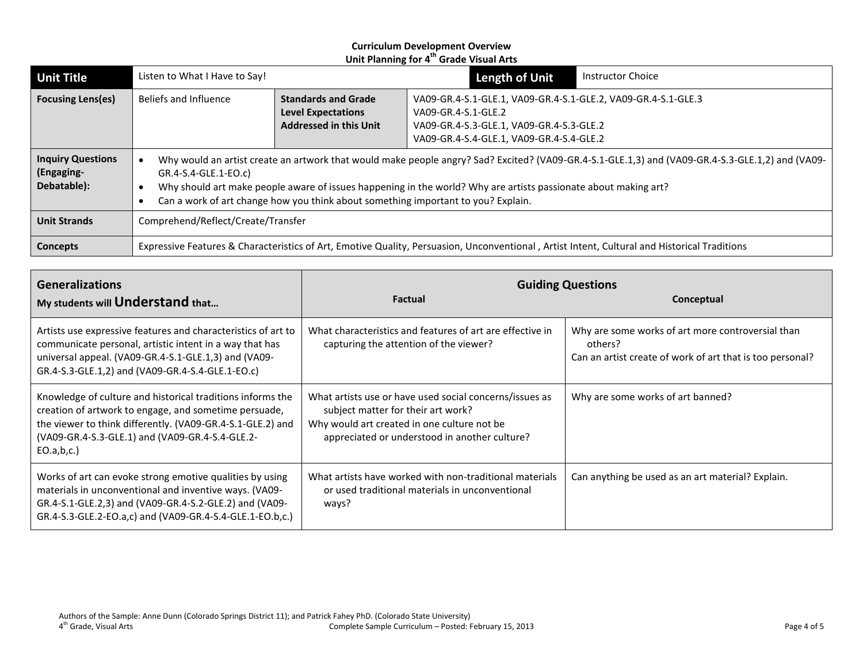| <b>Unit Title</b>                                     | Listen to What I Have to Say!                                                                                                                                                                                                                                                                                                                                                    |                                                                                          | Length of Unit                                                                                                                                                               | <b>Instructor Choice</b> |  |
|-------------------------------------------------------|----------------------------------------------------------------------------------------------------------------------------------------------------------------------------------------------------------------------------------------------------------------------------------------------------------------------------------------------------------------------------------|------------------------------------------------------------------------------------------|------------------------------------------------------------------------------------------------------------------------------------------------------------------------------|--------------------------|--|
| <b>Focusing Lens(es)</b>                              | Beliefs and Influence                                                                                                                                                                                                                                                                                                                                                            | <b>Standards and Grade</b><br><b>Level Expectations</b><br><b>Addressed in this Unit</b> | VA09-GR.4-S.1-GLE.1, VA09-GR.4-S.1-GLE.2, VA09-GR.4-S.1-GLE.3<br>VA09-GR.4-S.1-GLE.2<br>VA09-GR.4-S.3-GLE.1, VA09-GR.4-S.3-GLE.2<br>VA09-GR.4-S.4-GLE.1, VA09-GR.4-S.4-GLE.2 |                          |  |
| <b>Inquiry Questions</b><br>(Engaging-<br>Debatable): | Why would an artist create an artwork that would make people angry? Sad? Excited? (VA09-GR.4-S.1-GLE.1,3) and (VA09-GR.4-S.3-GLE.1,2) and (VA09-<br>GR.4-S.4-GLE.1-EO.c)<br>Why should art make people aware of issues happening in the world? Why are artists passionate about making art?<br>Can a work of art change how you think about something important to you? Explain. |                                                                                          |                                                                                                                                                                              |                          |  |
| <b>Unit Strands</b>                                   | Comprehend/Reflect/Create/Transfer                                                                                                                                                                                                                                                                                                                                               |                                                                                          |                                                                                                                                                                              |                          |  |
| Concepts                                              | Expressive Features & Characteristics of Art, Emotive Quality, Persuasion, Unconventional, Artist Intent, Cultural and Historical Traditions                                                                                                                                                                                                                                     |                                                                                          |                                                                                                                                                                              |                          |  |

| <b>Generalizations</b><br>My students will Understand that                                                                                                                                                                                         | <b>Factual</b>                                                                                                                                                                                | <b>Guiding Questions</b><br>Conceptual                                                                                    |  |
|----------------------------------------------------------------------------------------------------------------------------------------------------------------------------------------------------------------------------------------------------|-----------------------------------------------------------------------------------------------------------------------------------------------------------------------------------------------|---------------------------------------------------------------------------------------------------------------------------|--|
| Artists use expressive features and characteristics of art to<br>communicate personal, artistic intent in a way that has<br>universal appeal. (VA09-GR.4-S.1-GLE.1,3) and (VA09-<br>GR.4-S.3-GLE.1,2) and (VA09-GR.4-S.4-GLE.1-EO.c)               | What characteristics and features of art are effective in<br>capturing the attention of the viewer?                                                                                           | Why are some works of art more controversial than<br>others?<br>Can an artist create of work of art that is too personal? |  |
| Knowledge of culture and historical traditions informs the<br>creation of artwork to engage, and sometime persuade,<br>the viewer to think differently. (VA09-GR.4-S.1-GLE.2) and<br>(VA09-GR.4-S.3-GLE.1) and (VA09-GR.4-S.4-GLE.2-<br>EO.a,b,c.) | What artists use or have used social concerns/issues as<br>subject matter for their art work?<br>Why would art created in one culture not be<br>appreciated or understood in another culture? | Why are some works of art banned?                                                                                         |  |
| Works of art can evoke strong emotive qualities by using<br>materials in unconventional and inventive ways. (VA09-<br>GR.4-S.1-GLE.2,3) and (VA09-GR.4-S.2-GLE.2) and (VA09-<br>GR.4-S.3-GLE.2-EO.a,c) and (VA09-GR.4-S.4-GLE.1-EO.b,c.)           | What artists have worked with non-traditional materials<br>or used traditional materials in unconventional<br>ways?                                                                           | Can anything be used as an art material? Explain.                                                                         |  |